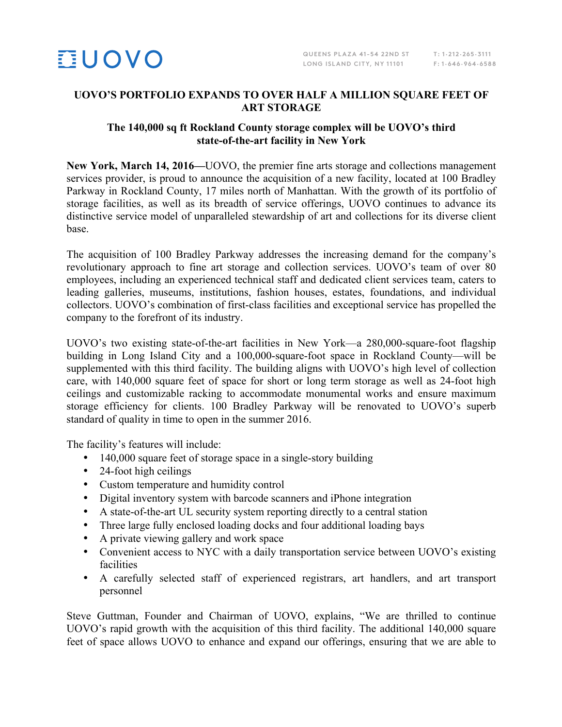

## **UOVO'S PORTFOLIO EXPANDS TO OVER HALF A MILLION SQUARE FEET OF ART STORAGE**

## **The 140,000 sq ft Rockland County storage complex will be UOVO's third state-of-the-art facility in New York**

**New York, March 14, 2016—**UOVO, the premier fine arts storage and collections management services provider, is proud to announce the acquisition of a new facility, located at 100 Bradley Parkway in Rockland County, 17 miles north of Manhattan. With the growth of its portfolio of storage facilities, as well as its breadth of service offerings, UOVO continues to advance its distinctive service model of unparalleled stewardship of art and collections for its diverse client base.

The acquisition of 100 Bradley Parkway addresses the increasing demand for the company's revolutionary approach to fine art storage and collection services. UOVO's team of over 80 employees, including an experienced technical staff and dedicated client services team, caters to leading galleries, museums, institutions, fashion houses, estates, foundations, and individual collectors. UOVO's combination of first-class facilities and exceptional service has propelled the company to the forefront of its industry.

UOVO's two existing state-of-the-art facilities in New York—a 280,000-square-foot flagship building in Long Island City and a 100,000-square-foot space in Rockland County—will be supplemented with this third facility. The building aligns with UOVO's high level of collection care, with 140,000 square feet of space for short or long term storage as well as 24-foot high ceilings and customizable racking to accommodate monumental works and ensure maximum storage efficiency for clients. 100 Bradley Parkway will be renovated to UOVO's superb standard of quality in time to open in the summer 2016.

The facility's features will include:

- 140,000 square feet of storage space in a single-story building
- 24-foot high ceilings
- Custom temperature and humidity control
- Digital inventory system with barcode scanners and iPhone integration
- A state-of-the-art UL security system reporting directly to a central station
- Three large fully enclosed loading docks and four additional loading bays
- A private viewing gallery and work space
- Convenient access to NYC with a daily transportation service between UOVO's existing facilities
- A carefully selected staff of experienced registrars, art handlers, and art transport personnel

Steve Guttman, Founder and Chairman of UOVO, explains, "We are thrilled to continue UOVO's rapid growth with the acquisition of this third facility. The additional 140,000 square feet of space allows UOVO to enhance and expand our offerings, ensuring that we are able to